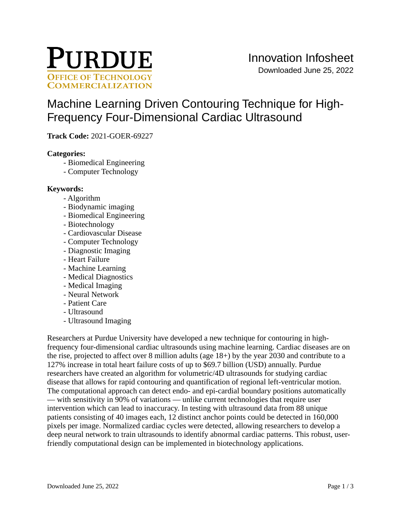

# [Machine Learning Driven Contouring Technique for High-](https://inventions.prf.org/innovation/7837)[Frequency Four-Dimensional Cardiac Ultrasound](https://inventions.prf.org/innovation/7837)

**Track Code:** 2021-GOER-69227

## **Categories:**

- Biomedical Engineering
- Computer Technology

## **Keywords:**

- Algorithm
- Biodynamic imaging
- Biomedical Engineering
- Biotechnology
- Cardiovascular Disease
- Computer Technology
- Diagnostic Imaging
- Heart Failure
- Machine Learning
- Medical Diagnostics
- Medical Imaging
- Neural Network
- Patient Care
- Ultrasound
- Ultrasound Imaging

Researchers at Purdue University have developed a new technique for contouring in highfrequency four-dimensional cardiac ultrasounds using machine learning. Cardiac diseases are on the rise, projected to affect over 8 million adults (age 18+) by the year 2030 and contribute to a 127% increase in total heart failure costs of up to \$69.7 billion (USD) annually. Purdue researchers have created an algorithm for volumetric/4D ultrasounds for studying cardiac disease that allows for rapid contouring and quantification of regional left-ventricular motion. The computational approach can detect endo- and epi-cardial boundary positions automatically — with sensitivity in 90% of variations — unlike current technologies that require user intervention which can lead to inaccuracy. In testing with ultrasound data from 88 unique patients consisting of 40 images each, 12 distinct anchor points could be detected in 160,000 pixels per image. Normalized cardiac cycles were detected, allowing researchers to develop a deep neural network to train ultrasounds to identify abnormal cardiac patterns. This robust, userfriendly computational design can be implemented in biotechnology applications.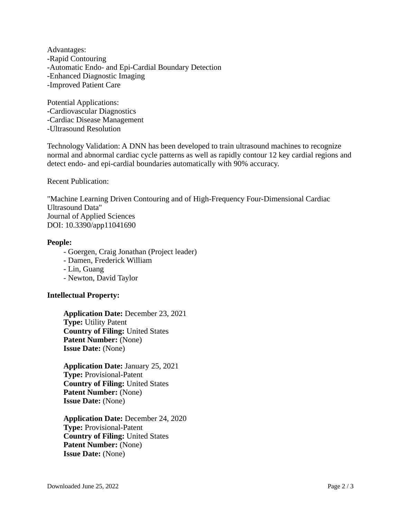Advantages: -Rapid Contouring -Automatic Endo- and Epi-Cardial Boundary Detection -Enhanced Diagnostic Imaging -Improved Patient Care

Potential Applications: -Cardiovascular Diagnostics -Cardiac Disease Management -Ultrasound Resolution

Technology Validation: A DNN has been developed to train ultrasound machines to recognize normal and abnormal cardiac cycle patterns as well as rapidly contour 12 key cardial regions and detect endo- and epi-cardial boundaries automatically with 90% accuracy.

Recent Publication:

"Machine Learning Driven Contouring and of High-Frequency Four-Dimensional Cardiac Ultrasound Data" Journal of Applied Sciences DOI: 10.3390/app11041690

#### **People:**

- Goergen, Craig Jonathan (Project leader)

- Damen, Frederick William

- Lin, Guang

- Newton, David Taylor

## **Intellectual Property:**

**Application Date:** December 23, 2021 **Type:** Utility Patent **Country of Filing:** United States Patent Number: (None) **Issue Date:** (None)

**Application Date:** January 25, 2021 **Type:** Provisional-Patent **Country of Filing:** United States **Patent Number:** (None) **Issue Date:** (None)

**Application Date:** December 24, 2020 **Type:** Provisional-Patent **Country of Filing:** United States **Patent Number:** (None) **Issue Date:** (None)